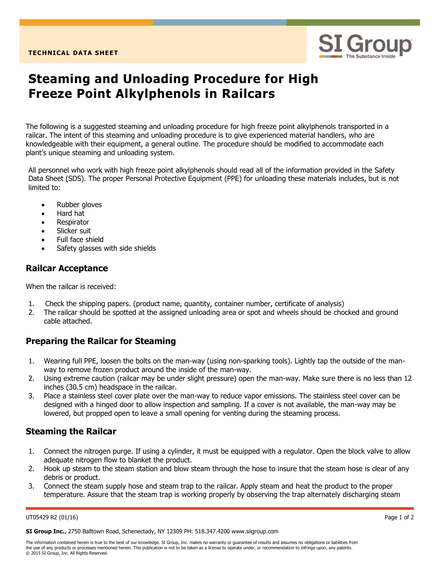

# **Steaming and Unloading Procedure for High Freeze Point Alkylphenols in Railcars**

The following is a suggested steaming and unloading procedure for high freeze point alkylphenols transported in a railcar. The intent of this steaming and unloading procedure is to give experienced material handlers, who are knowledgeable with their equipment, a general outline. The procedure should be modified to accommodate each plant's unique steaming and unloading system.

All personnel who work with high freeze point alkylphenols should read all of the information provided in the Safety Data Sheet (SDS). The proper Personal Protective Equipment (PPE) for unloading these materials includes, but is not limited to:

- Rubber gloves
- Hard hat
- **Respirator**
- Slicker suit
- Full face shield
- Safety glasses with side shields

# **Railcar Acceptance**

When the railcar is received:

- 1. Check the shipping papers. (product name, quantity, container number, certificate of analysis)
- 2. The railcar should be spotted at the assigned unloading area or spot and wheels should be chocked and ground cable attached.

# **Preparing the Railcar for Steaming**

- 1. Wearing full PPE, loosen the bolts on the man-way (using non-sparking tools). Lightly tap the outside of the manway to remove frozen product around the inside of the man-way.
- 2. Using extreme caution (railcar may be under slight pressure) open the man-way. Make sure there is no less than 12 inches (30.5 cm) headspace in the railcar.
- 3. Place a stainless steel cover plate over the man-way to reduce vapor emissions. The stainless steel cover can be designed with a hinged door to allow inspection and sampling. If a cover is not available, the man-way may be lowered, but propped open to leave a small opening for venting during the steaming process.

## **Steaming the Railcar**

- 1. Connect the nitrogen purge. If using a cylinder, it must be equipped with a regulator. Open the block valve to allow adequate nitrogen flow to blanket the product.
- 2. Hook up steam to the steam station and blow steam through the hose to insure that the steam hose is clear of any debris or product.
- 3. Connect the steam supply hose and steam trap to the railcar. Apply steam and heat the product to the proper temperature. Assure that the steam trap is working properly by observing the trap alternately discharging steam

#### UT05429 R2 (01/16) Page 1 of 2

**SI Group Inc.**, 2750 Balltown Road, Schenectady, NY 12309 PH: 518.347.4200 www.siigroup.com